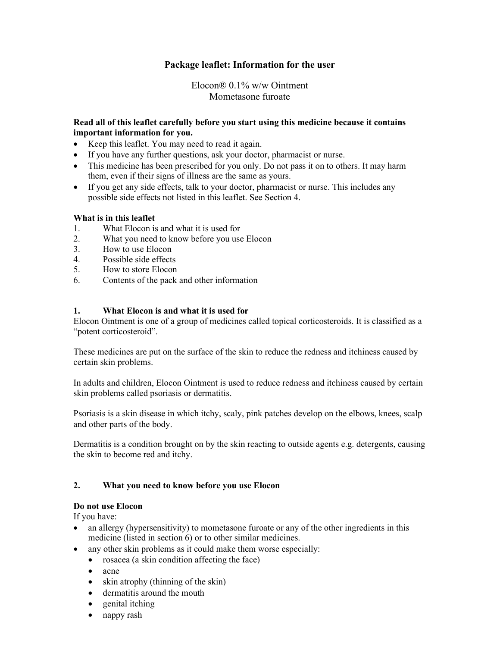# **Package leaflet: Information for the user**

Elocon® 0.1% w/w Ointment Mometasone furoate

## **Read all of this leaflet carefully before you start using this medicine because it contains important information for you.**

- Keep this leaflet. You may need to read it again.
- If you have any further questions, ask your doctor, pharmacist or nurse.
- This medicine has been prescribed for you only. Do not pass it on to others. It may harm them, even if their signs of illness are the same as yours.
- If you get any side effects, talk to your doctor, pharmacist or nurse. This includes any possible side effects not listed in this leaflet. See Section 4.

## **What is in this leaflet**

- 1. What Elocon is and what it is used for
- 2. What you need to know before you use Elocon
- 3. How to use Elocon
- 4. Possible side effects
- 5. How to store Elocon
- 6. Contents of the pack and other information

## **1. What Elocon is and what it is used for**

Elocon Ointment is one of a group of medicines called topical corticosteroids. It is classified as a "potent corticosteroid".

These medicines are put on the surface of the skin to reduce the redness and itchiness caused by certain skin problems.

In adults and children, Elocon Ointment is used to reduce redness and itchiness caused by certain skin problems called psoriasis or dermatitis.

Psoriasis is a skin disease in which itchy, scaly, pink patches develop on the elbows, knees, scalp and other parts of the body.

Dermatitis is a condition brought on by the skin reacting to outside agents e.g. detergents, causing the skin to become red and itchy.

## **2. What you need to know before you use Elocon**

## **Do not use Elocon**

If you have:

- an allergy (hypersensitivity) to mometasone furoate or any of the other ingredients in this medicine (listed in section 6) or to other similar medicines.
- any other skin problems as it could make them worse especially:
	- rosacea (a skin condition affecting the face)
	- acne
	- skin atrophy (thinning of the skin)
	- dermatitis around the mouth
	- genital itching
	- nappy rash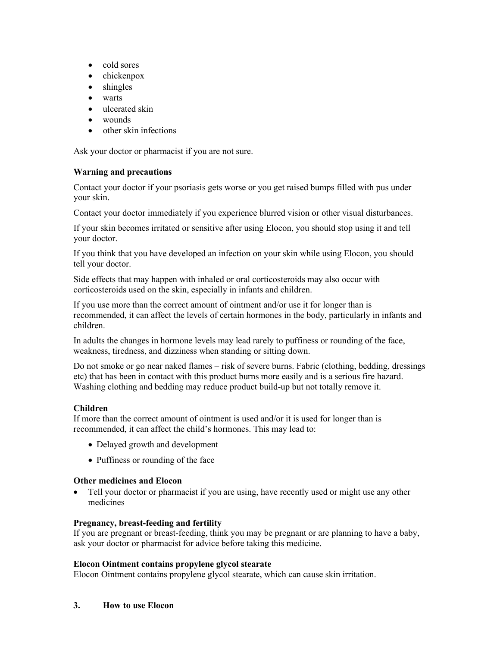- cold sores
- chickenpox
- shingles
- warts
- ulcerated skin
- wounds
- other skin infections

Ask your doctor or pharmacist if you are not sure.

#### **Warning and precautions**

Contact your doctor if your psoriasis gets worse or you get raised bumps filled with pus under your skin.

Contact your doctor immediately if you experience blurred vision or other visual disturbances.

If your skin becomes irritated or sensitive after using Elocon, you should stop using it and tell your doctor.

If you think that you have developed an infection on your skin while using Elocon, you should tell your doctor.

Side effects that may happen with inhaled or oral corticosteroids may also occur with corticosteroids used on the skin, especially in infants and children.

If you use more than the correct amount of ointment and/or use it for longer than is recommended, it can affect the levels of certain hormones in the body, particularly in infants and children.

In adults the changes in hormone levels may lead rarely to puffiness or rounding of the face, weakness, tiredness, and dizziness when standing or sitting down.

Do not smoke or go near naked flames – risk of severe burns. Fabric (clothing, bedding, dressings etc) that has been in contact with this product burns more easily and is a serious fire hazard. Washing clothing and bedding may reduce product build-up but not totally remove it.

## **Children**

If more than the correct amount of ointment is used and/or it is used for longer than is recommended, it can affect the child's hormones. This may lead to:

- Delayed growth and development
- Puffiness or rounding of the face

## **Other medicines and Elocon**

• Tell your doctor or pharmacist if you are using, have recently used or might use any other medicines

## **Pregnancy, breast-feeding and fertility**

If you are pregnant or breast-feeding, think you may be pregnant or are planning to have a baby, ask your doctor or pharmacist for advice before taking this medicine.

## **Elocon Ointment contains propylene glycol stearate**

Elocon Ointment contains propylene glycol stearate, which can cause skin irritation.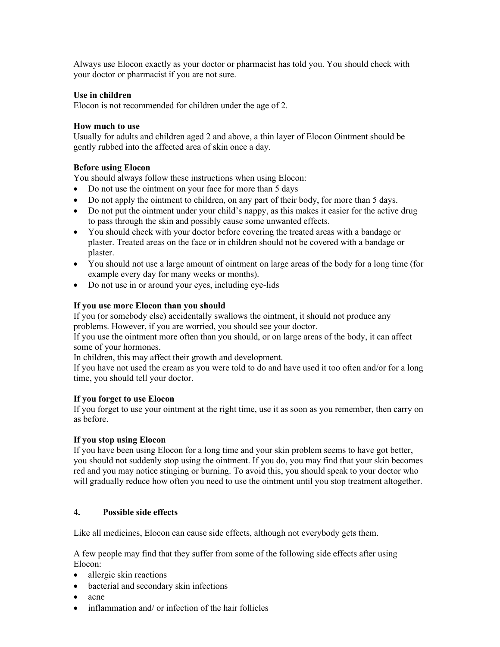Always use Elocon exactly as your doctor or pharmacist has told you. You should check with your doctor or pharmacist if you are not sure.

## **Use in children**

Elocon is not recommended for children under the age of 2.

## **How much to use**

Usually for adults and children aged 2 and above, a thin layer of Elocon Ointment should be gently rubbed into the affected area of skin once a day.

## **Before using Elocon**

You should always follow these instructions when using Elocon:

- Do not use the ointment on your face for more than 5 days
- Do not apply the ointment to children, on any part of their body, for more than 5 days.
- Do not put the ointment under your child's nappy, as this makes it easier for the active drug to pass through the skin and possibly cause some unwanted effects.
- You should check with your doctor before covering the treated areas with a bandage or plaster. Treated areas on the face or in children should not be covered with a bandage or plaster.
- You should not use a large amount of ointment on large areas of the body for a long time (for example every day for many weeks or months).
- Do not use in or around your eyes, including eye-lids

#### **If you use more Elocon than you should**

If you (or somebody else) accidentally swallows the ointment, it should not produce any problems. However, if you are worried, you should see your doctor.

If you use the ointment more often than you should, or on large areas of the body, it can affect some of your hormones.

In children, this may affect their growth and development.

If you have not used the cream as you were told to do and have used it too often and/or for a long time, you should tell your doctor.

## **If you forget to use Elocon**

If you forget to use your ointment at the right time, use it as soon as you remember, then carry on as before.

#### **If you stop using Elocon**

If you have been using Elocon for a long time and your skin problem seems to have got better, you should not suddenly stop using the ointment. If you do, you may find that your skin becomes red and you may notice stinging or burning. To avoid this, you should speak to your doctor who will gradually reduce how often you need to use the ointment until you stop treatment altogether.

## **4. Possible side effects**

Like all medicines, Elocon can cause side effects, although not everybody gets them.

A few people may find that they suffer from some of the following side effects after using Elocon:

- allergic skin reactions
- bacterial and secondary skin infections
- acne
- inflammation and/ or infection of the hair follicles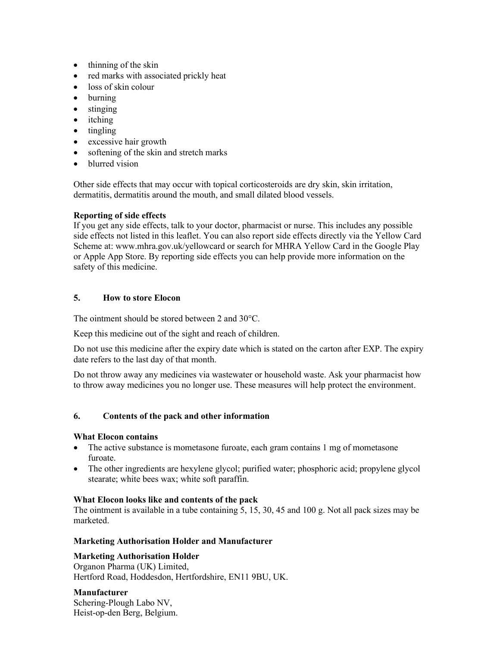- thinning of the skin
- red marks with associated prickly heat
- loss of skin colour
- burning
- stinging
- *itching*
- tingling
- excessive hair growth
- softening of the skin and stretch marks
- blurred vision

Other side effects that may occur with topical corticosteroids are dry skin, skin irritation, dermatitis, dermatitis around the mouth, and small dilated blood vessels.

## **Reporting of side effects**

If you get any side effects, talk to your doctor, pharmacist or nurse. This includes any possible side effects not listed in this leaflet. You can also report side effects directly via the Yellow Card Scheme at: [www.mhra.gov.uk/yellowcard](http://www.mhra.gov.uk/yellowcard) or search for MHRA Yellow Card in the Google Play or Apple App Store. By reporting side effects you can help provide more information on the safety of this medicine.

## **5. How to store Elocon**

The ointment should be stored between 2 and 30°C.

Keep this medicine out of the sight and reach of children.

Do not use this medicine after the expiry date which is stated on the carton after EXP. The expiry date refers to the last day of that month.

Do not throw away any medicines via wastewater or household waste. Ask your pharmacist how to throw away medicines you no longer use. These measures will help protect the environment.

## **6. Contents of the pack and other information**

## **What Elocon contains**

- The active substance is mometasone furoate, each gram contains 1 mg of mometasone furoate.
- The other ingredients are hexylene glycol; purified water; phosphoric acid; propylene glycol stearate; white bees wax; white soft paraffin.

## **What Elocon looks like and contents of the pack**

The ointment is available in a tube containing 5, 15, 30, 45 and 100 g. Not all pack sizes may be marketed.

## **Marketing Authorisation Holder and Manufacturer**

## **Marketing Authorisation Holder**

Organon Pharma (UK) Limited, Hertford Road, Hoddesdon, Hertfordshire, EN11 9BU, UK.

## **Manufacturer**

Schering-Plough Labo NV, Heist-op-den Berg, Belgium.